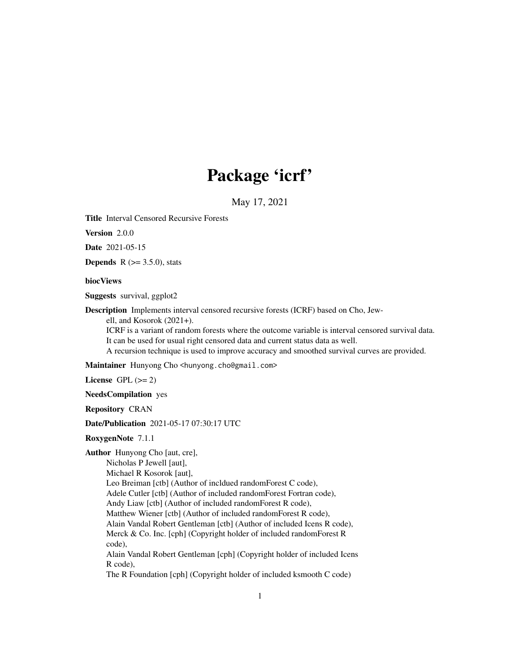## Package 'icrf'

May 17, 2021

Title Interval Censored Recursive Forests

Version 2.0.0

Date 2021-05-15

**Depends** R  $(>= 3.5.0)$ , stats

#### biocViews

Suggests survival, ggplot2

Description Implements interval censored recursive forests (ICRF) based on Cho, Jew-

ell, and Kosorok (2021+).

ICRF is a variant of random forests where the outcome variable is interval censored survival data. It can be used for usual right censored data and current status data as well.

A recursion technique is used to improve accuracy and smoothed survival curves are provided.

Maintainer Hunyong Cho <hunyong.cho@gmail.com>

License GPL  $(>= 2)$ 

NeedsCompilation yes

Repository CRAN

Date/Publication 2021-05-17 07:30:17 UTC

RoxygenNote 7.1.1

Author Hunyong Cho [aut, cre], Nicholas P Jewell [aut], Michael R Kosorok [aut], Leo Breiman [ctb] (Author of incldued randomForest C code), Adele Cutler [ctb] (Author of included randomForest Fortran code), Andy Liaw [ctb] (Author of included randomForest R code), Matthew Wiener [ctb] (Author of included randomForest R code), Alain Vandal Robert Gentleman [ctb] (Author of included Icens R code), Merck & Co. Inc. [cph] (Copyright holder of included randomForest R code), Alain Vandal Robert Gentleman [cph] (Copyright holder of included Icens R code), The R Foundation [cph] (Copyright holder of included ksmooth C code)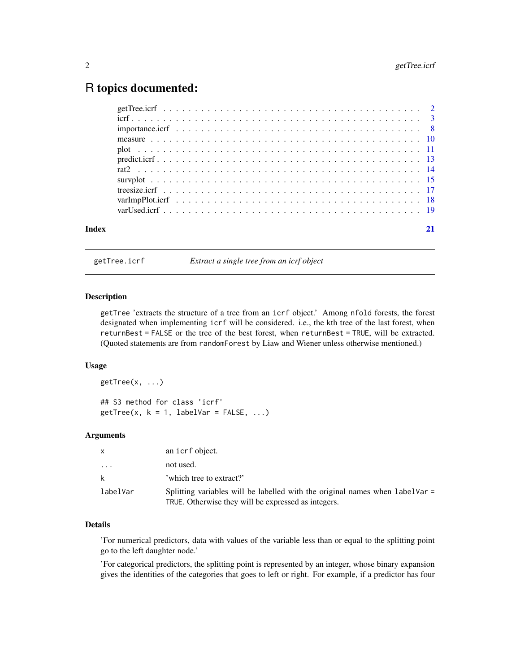### <span id="page-1-0"></span>R topics documented:

getTree.icrf *Extract a single tree from an icrf object*

#### Description

getTree 'extracts the structure of a tree from an icrf object.' Among nfold forests, the forest designated when implementing icrf will be considered. i.e., the kth tree of the last forest, when returnBest = FALSE or the tree of the best forest, when returnBest = TRUE, will be extracted. (Quoted statements are from randomForest by Liaw and Wiener unless otherwise mentioned.)

#### Usage

getTree(x, ...) ## S3 method for class 'icrf'  $getTree(x, k = 1, labelVar = FALSE, ...)$ 

#### Arguments

| X.                      | an icrf object.                                                                                                                     |
|-------------------------|-------------------------------------------------------------------------------------------------------------------------------------|
| $\cdot$ $\cdot$ $\cdot$ | not used.                                                                                                                           |
| k                       | 'which tree to extract?'                                                                                                            |
| labelVar                | Splitting variables will be labelled with the original names when labelVar =<br>TRUE. Otherwise they will be expressed as integers. |

#### Details

'For numerical predictors, data with values of the variable less than or equal to the splitting point go to the left daughter node.'

'For categorical predictors, the splitting point is represented by an integer, whose binary expansion gives the identities of the categories that goes to left or right. For example, if a predictor has four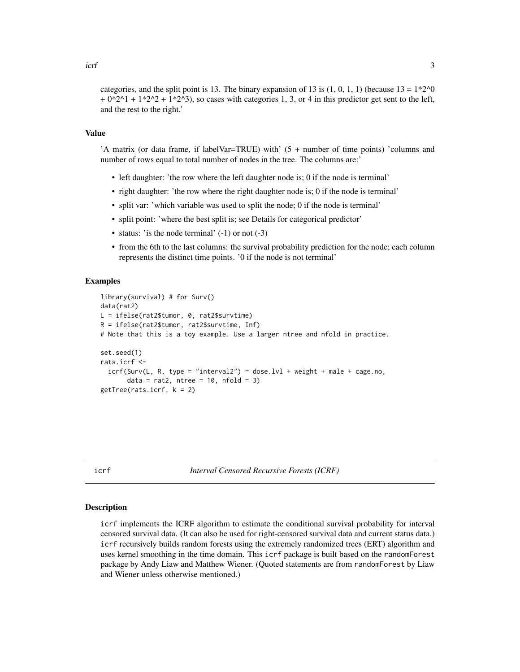<span id="page-2-0"></span>categories, and the split point is 13. The binary expansion of 13 is  $(1, 0, 1, 1)$  (because  $13 = 1*2^0$ )  $+ 0*2^01 + 1*2^02 + 1*2^03$ , so cases with categories 1, 3, or 4 in this predictor get sent to the left, and the rest to the right.'

#### Value

'A matrix (or data frame, if labelVar=TRUE) with' (5 + number of time points) 'columns and number of rows equal to total number of nodes in the tree. The columns are:'

- left daughter: 'the row where the left daughter node is; 0 if the node is terminal'
- right daughter: 'the row where the right daughter node is; 0 if the node is terminal'
- split var: 'which variable was used to split the node; 0 if the node is terminal'
- split point: 'where the best split is; see Details for categorical predictor'
- status: 'is the node terminal'  $(-1)$  or not  $(-3)$
- from the 6th to the last columns: the survival probability prediction for the node; each column represents the distinct time points. '0 if the node is not terminal'

#### Examples

```
library(survival) # for Surv()
data(rat2)
L = ifelse(rat2$tumor, 0, rat2$survtime)
R = ifelse(rat2$tumor, rat2$survtime, Inf)
# Note that this is a toy example. Use a larger ntree and nfold in practice.
set.seed(1)
rats.icrf <-
  icrf(Surv(L, R, type = "interval2") ~ does. LV1 + weight + male + cage.no,data = rat2, ntree = 10, nfold = 3)
getTree(rats.icrf, k = 2)
```
icrf *Interval Censored Recursive Forests (ICRF)*

#### Description

icrf implements the ICRF algorithm to estimate the conditional survival probability for interval censored survival data. (It can also be used for right-censored survival data and current status data.) icrf recursively builds random forests using the extremely randomized trees (ERT) algorithm and uses kernel smoothing in the time domain. This icrf package is built based on the randomForest package by Andy Liaw and Matthew Wiener. (Quoted statements are from randomForest by Liaw and Wiener unless otherwise mentioned.)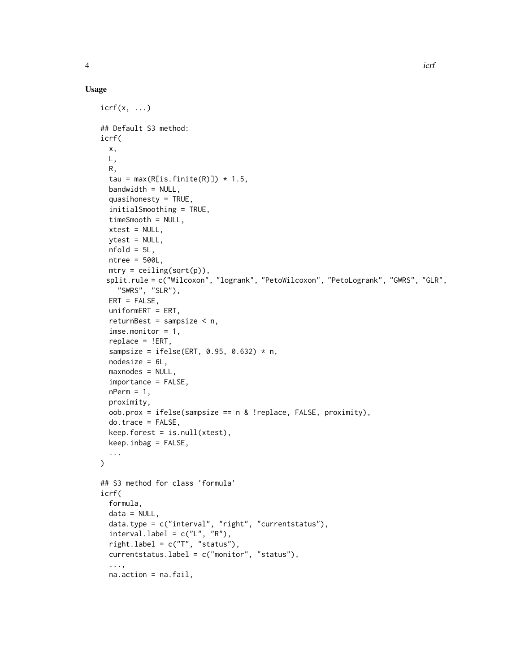#### Usage

```
icrf(x, \ldots)## Default S3 method:
icrf(
 x,
 L,
 R,
  tau = max(R[is.finite(R)]) * 1.5,
 bandwidth = NULL,
  quasihonesty = TRUE,
  initialSmoothing = TRUE,
  timeSmooth = NULL,
  xtest = NULL,
 ytest = NULL,nfold = 5L,
 ntree = 500L,
 mtry = ceiling(sqrt(p)),split.rule = c("Wilcoxon", "logrank", "PetoWilcoxon", "PetoLogrank", "GWRS", "GLR",
    "SWRS", "SLR"),
 ERT = FALSE,uniformERT = ERT,
  returnBest = sampsize < n,
  imse.monitor = 1,
  replace = !ERT,
  sampsize = ifelse(ERT, 0.95, 0.632) * n,
  nodesize = 6L,
  maxnodes = NULL,
  importance = FALSE,
  nPerm = 1,
  proximity,
  oob.prox = ifelse(sampsize == n & !replace, FALSE, proximity),
  do.trace = FALSE,
  keep.forest = is.null(xtest),keep.inbag = FALSE,
  ...
\mathcal{L}## S3 method for class 'formula'
icrf(
  formula,
  data = NULL,
  data.type = c("interval", "right", "currentstatus"),
  intervalu = c("L", "R"),
  rightr.label = c("T", "status").currentstatus.label = c("monitor", "status"),
  ...,
  na.action = na.fail,
```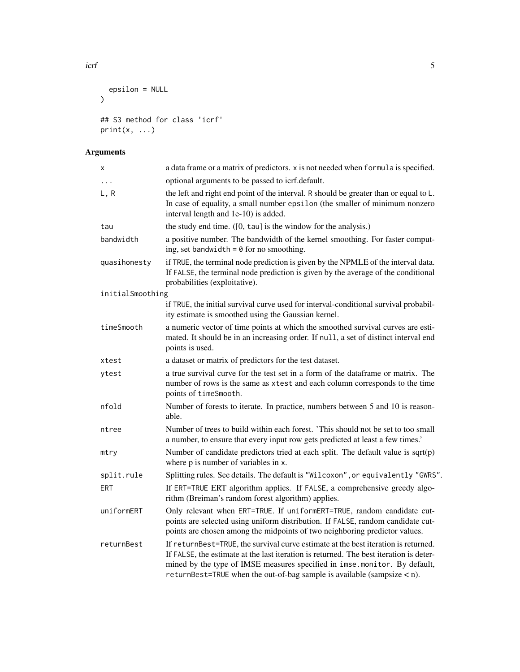```
epsilon = NULL
\mathcal{L}## S3 method for class 'icrf'
print(x, \ldots)
```
## Arguments

| X                | a data frame or a matrix of predictors. x is not needed when formula is specified.                                                                                                                                                                                                                                                      |
|------------------|-----------------------------------------------------------------------------------------------------------------------------------------------------------------------------------------------------------------------------------------------------------------------------------------------------------------------------------------|
| $\cdots$         | optional arguments to be passed to icrf.default.                                                                                                                                                                                                                                                                                        |
| L, R             | the left and right end point of the interval. R should be greater than or equal to L.<br>In case of equality, a small number epsilon (the smaller of minimum nonzero<br>interval length and 1e-10) is added.                                                                                                                            |
| tau              | the study end time. $([0, \tan]$ is the window for the analysis.)                                                                                                                                                                                                                                                                       |
| bandwidth        | a positive number. The bandwidth of the kernel smoothing. For faster comput-<br>ing, set bandwidth = $\theta$ for no smoothing.                                                                                                                                                                                                         |
| quasihonesty     | if TRUE, the terminal node prediction is given by the NPMLE of the interval data.<br>If FALSE, the terminal node prediction is given by the average of the conditional<br>probabilities (exploitative).                                                                                                                                 |
| initialSmoothing |                                                                                                                                                                                                                                                                                                                                         |
|                  | if TRUE, the initial survival curve used for interval-conditional survival probabil-<br>ity estimate is smoothed using the Gaussian kernel.                                                                                                                                                                                             |
| timeSmooth       | a numeric vector of time points at which the smoothed survival curves are esti-<br>mated. It should be in an increasing order. If null, a set of distinct interval end<br>points is used.                                                                                                                                               |
| xtest            | a dataset or matrix of predictors for the test dataset.                                                                                                                                                                                                                                                                                 |
| ytest            | a true survival curve for the test set in a form of the data frame or matrix. The<br>number of rows is the same as xtest and each column corresponds to the time<br>points of timeSmooth.                                                                                                                                               |
| nfold            | Number of forests to iterate. In practice, numbers between 5 and 10 is reason-<br>able.                                                                                                                                                                                                                                                 |
| ntree            | Number of trees to build within each forest. 'This should not be set to too small<br>a number, to ensure that every input row gets predicted at least a few times.'                                                                                                                                                                     |
| mtry             | Number of candidate predictors tried at each split. The default value is $sqrt(p)$<br>where p is number of variables in x.                                                                                                                                                                                                              |
| split.rule       | Splitting rules. See details. The default is "Wilcoxon", or equivalently "GWRS".                                                                                                                                                                                                                                                        |
| ERT              | If ERT=TRUE ERT algorithm applies. If FALSE, a comprehensive greedy algo-<br>rithm (Breiman's random forest algorithm) applies.                                                                                                                                                                                                         |
| uniformERT       | Only relevant when ERT=TRUE. If uniformERT=TRUE, random candidate cut-<br>points are selected using uniform distribution. If FALSE, random candidate cut-<br>points are chosen among the midpoints of two neighboring predictor values.                                                                                                 |
| returnBest       | If returnest=TRUE, the survival curve estimate at the best iteration is returned.<br>If FALSE, the estimate at the last iteration is returned. The best iteration is deter-<br>mined by the type of IMSE measures specified in imse.monitor. By default,<br>returnBest=TRUE when the out-of-bag sample is available (sampsize $\lt$ n). |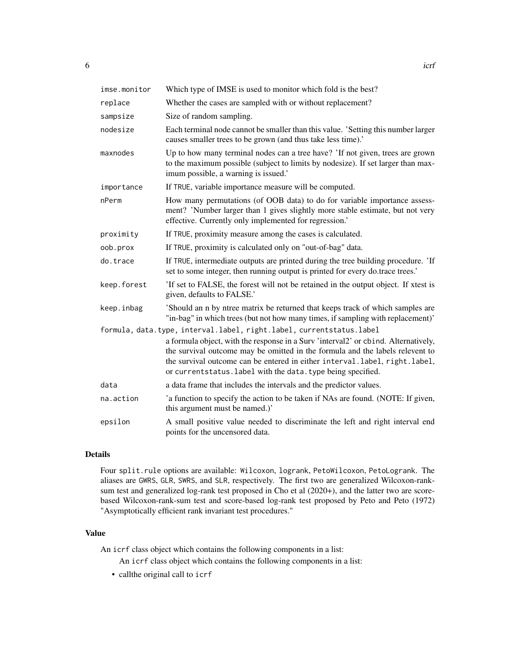| imse.monitor | Which type of IMSE is used to monitor which fold is the best?                                                                                                                                                                                                                                                     |
|--------------|-------------------------------------------------------------------------------------------------------------------------------------------------------------------------------------------------------------------------------------------------------------------------------------------------------------------|
| replace      | Whether the cases are sampled with or without replacement?                                                                                                                                                                                                                                                        |
| sampsize     | Size of random sampling.                                                                                                                                                                                                                                                                                          |
| nodesize     | Each terminal node cannot be smaller than this value. 'Setting this number larger<br>causes smaller trees to be grown (and thus take less time).'                                                                                                                                                                 |
| maxnodes     | Up to how many terminal nodes can a tree have? 'If not given, trees are grown<br>to the maximum possible (subject to limits by nodesize). If set larger than max-<br>imum possible, a warning is issued.'                                                                                                         |
| importance   | If TRUE, variable importance measure will be computed.                                                                                                                                                                                                                                                            |
| nPerm        | How many permutations (of OOB data) to do for variable importance assess-<br>ment? 'Number larger than 1 gives slightly more stable estimate, but not very<br>effective. Currently only implemented for regression.'                                                                                              |
| proximity    | If TRUE, proximity measure among the cases is calculated.                                                                                                                                                                                                                                                         |
| oob.prox     | If TRUE, proximity is calculated only on "out-of-bag" data.                                                                                                                                                                                                                                                       |
| do.trace     | If TRUE, intermediate outputs are printed during the tree building procedure. 'If<br>set to some integer, then running output is printed for every do.trace trees.'                                                                                                                                               |
| keep.forest  | 'If set to FALSE, the forest will not be retained in the output object. If xtest is<br>given, defaults to FALSE.'                                                                                                                                                                                                 |
| keep.inbag   | 'Should an n by ntree matrix be returned that keeps track of which samples are<br>"in-bag" in which trees (but not how many times, if sampling with replacement)'                                                                                                                                                 |
|              | formula, data.type, interval.label, right.label, currentstatus.label                                                                                                                                                                                                                                              |
|              | a formula object, with the response in a Surv 'interval2' or cbind. Alternatively,<br>the survival outcome may be omitted in the formula and the labels relevent to<br>the survival outcome can be entered in either interval.label, right.label,<br>or currentstatus. label with the data. type being specified. |
| data         | a data frame that includes the intervals and the predictor values.                                                                                                                                                                                                                                                |
| na.action    | 'a function to specify the action to be taken if NAs are found. (NOTE: If given,<br>this argument must be named.)'                                                                                                                                                                                                |
| epsilon      | A small positive value needed to discriminate the left and right interval end<br>points for the uncensored data.                                                                                                                                                                                                  |

#### Details

Four split.rule options are available: Wilcoxon, logrank, PetoWilcoxon, PetoLogrank. The aliases are GWRS, GLR, SWRS, and SLR, respectively. The first two are generalized Wilcoxon-ranksum test and generalized log-rank test proposed in Cho et al (2020+), and the latter two are scorebased Wilcoxon-rank-sum test and score-based log-rank test proposed by Peto and Peto (1972) "Asymptotically efficient rank invariant test procedures."

#### Value

An icrf class object which contains the following components in a list:

An icrf class object which contains the following components in a list:

• callthe original call to icrf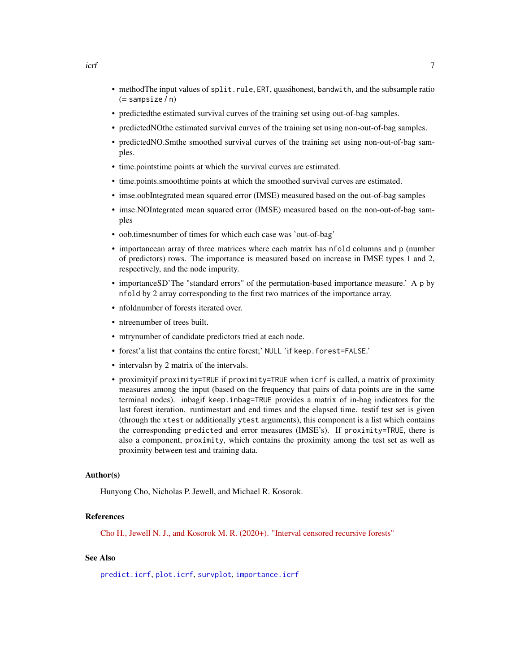- <span id="page-6-0"></span>• methodThe input values of split.rule, ERT, quasihonest, bandwith, and the subsample ratio (= sampsize / n)
- predictedthe estimated survival curves of the training set using out-of-bag samples.
- predictedNOthe estimated survival curves of the training set using non-out-of-bag samples.
- predictedNO.Smthe smoothed survival curves of the training set using non-out-of-bag samples.
- time.pointstime points at which the survival curves are estimated.
- time.points.smoothtime points at which the smoothed survival curves are estimated.
- imse.oobIntegrated mean squared error (IMSE) measured based on the out-of-bag samples
- imse.NOIntegrated mean squared error (IMSE) measured based on the non-out-of-bag samples
- oob.timesnumber of times for which each case was 'out-of-bag'
- importancean array of three matrices where each matrix has nfold columns and p (number of predictors) rows. The importance is measured based on increase in IMSE types 1 and 2, respectively, and the node impurity.
- importanceSD'The "standard errors" of the permutation-based importance measure.' A p by nfold by 2 array corresponding to the first two matrices of the importance array.
- nfoldnumber of forests iterated over.
- ntreenumber of trees built.
- mtrynumber of candidate predictors tried at each node.
- forest'a list that contains the entire forest;' NULL 'if keep.forest=FALSE.'
- intervalsn by 2 matrix of the intervals.
- proximityif proximity=TRUE if proximity=TRUE when icrf is called, a matrix of proximity measures among the input (based on the frequency that pairs of data points are in the same terminal nodes). inbagif keep.inbag=TRUE provides a matrix of in-bag indicators for the last forest iteration. runtimestart and end times and the elapsed time. testif test set is given (through the xtest or additionally ytest arguments), this component is a list which contains the corresponding predicted and error measures (IMSE's). If proximity=TRUE, there is also a component, proximity, which contains the proximity among the test set as well as proximity between test and training data.

#### Author(s)

Hunyong Cho, Nicholas P. Jewell, and Michael R. Kosorok.

#### References

[Cho H., Jewell N. J., and Kosorok M. R. \(2020+\). "Interval censored recursive forests"](https://arxiv.org/abs/1912.09983)

#### See Also

[predict.icrf](#page-12-1), [plot.icrf](#page-10-1), [survplot](#page-14-1), [importance.icrf](#page-7-1)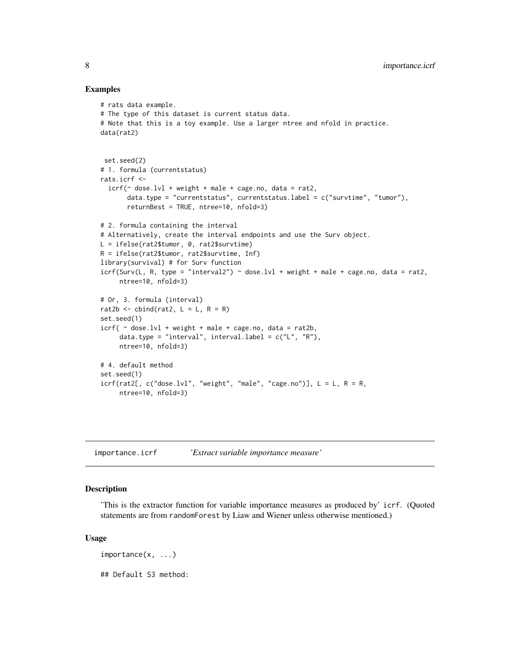#### Examples

```
# rats data example.
# The type of this dataset is current status data.
# Note that this is a toy example. Use a larger ntree and nfold in practice.
data(rat2)
 set.seed(2)
# 1. formula (currentstatus)
rats.icrf <-
  icrf(\sim dose.lvl + weight + male + cage.no, data = rat2,
       data.type = "currentstatus", currentstatus.label = c("survtime", "tumor"),
       returnBest = TRUE, ntree=10, nfold=3)
# 2. formula containing the interval
# Alternatively, create the interval endpoints and use the Surv object.
L = ifelse(rat2$tumor, 0, rat2$survtime)
R = ifelse(rat2$tumor, rat2$survtime, Inf)
library(survival) # for Surv function
icrf(Surv(L, R, type = "interval2") \sim dose.lvl + weight + male + cage.no, data = rat2,ntree=10, nfold=3)
# Or, 3. formula (interval)
rat2b \le cbind(rat2, L = L, R = R)
set.seed(1)
icrf( \sim dose.lvl + weight + male + cage.no, data = rat2b,
     data.type = "interval", interval.label = c("L", "R"),
     ntree=10, nfold=3)
# 4. default method
set.seed(1)
icrf(rat2[, c("dose.lvl", "weight", "male", "cage.no")], L = L, R = R,ntree=10, nfold=3)
```
<span id="page-7-1"></span>importance.icrf *'Extract variable importance measure'*

#### Description

'This is the extractor function for variable importance measures as produced by' icrf. (Quoted statements are from randomForest by Liaw and Wiener unless otherwise mentioned.)

#### Usage

importance(x, ...)

## Default S3 method:

<span id="page-7-0"></span>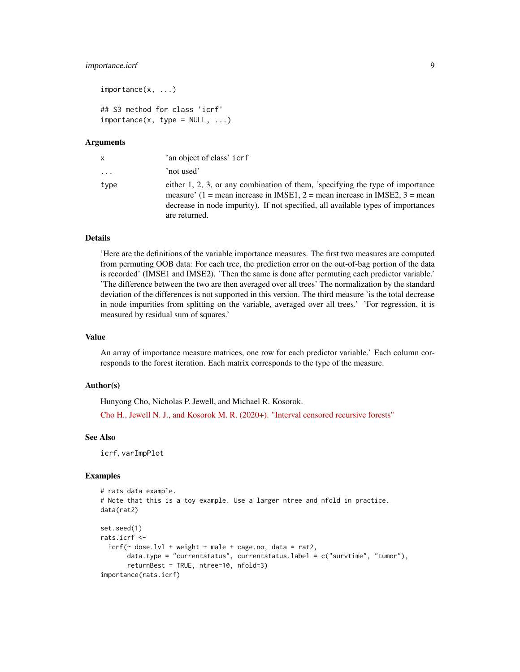#### importance.icrf 9

```
importance(x, ...)
## S3 method for class 'icrf'
importance(x, type = NULL, ...)
```
#### Arguments

| X       | 'an object of class' icrf                                                                                                                                                                                                                                         |
|---------|-------------------------------------------------------------------------------------------------------------------------------------------------------------------------------------------------------------------------------------------------------------------|
| $\cdot$ | 'not used'                                                                                                                                                                                                                                                        |
| type    | either 1, 2, 3, or any combination of them, 'specifying the type of importance<br>measure' (1 = mean increase in IMSE1, 2 = mean increase in IMSE2, 3 = mean<br>decrease in node impurity). If not specified, all available types of importances<br>are returned. |

#### Details

'Here are the definitions of the variable importance measures. The first two measures are computed from permuting OOB data: For each tree, the prediction error on the out-of-bag portion of the data is recorded' (IMSE1 and IMSE2). 'Then the same is done after permuting each predictor variable.' 'The difference between the two are then averaged over all trees' The normalization by the standard deviation of the differences is not supported in this version. The third measure 'is the total decrease in node impurities from splitting on the variable, averaged over all trees.' 'For regression, it is measured by residual sum of squares.'

#### Value

An array of importance measure matrices, one row for each predictor variable.' Each column corresponds to the forest iteration. Each matrix corresponds to the type of the measure.

#### Author(s)

Hunyong Cho, Nicholas P. Jewell, and Michael R. Kosorok.

[Cho H., Jewell N. J., and Kosorok M. R. \(2020+\). "Interval censored recursive forests"](https://arxiv.org/abs/1912.09983)

#### See Also

icrf, varImpPlot

```
# rats data example.
# Note that this is a toy example. Use a larger ntree and nfold in practice.
data(rat2)
set.seed(1)
rats.icrf <-
 icrf(\sim dose.lvl + weight + male + cage.no, data = rat2,
       data.type = "currentstatus", currentstatus.label = c("survtime", "tumor"),
       returnBest = TRUE, ntree=10, nfold=3)
importance(rats.icrf)
```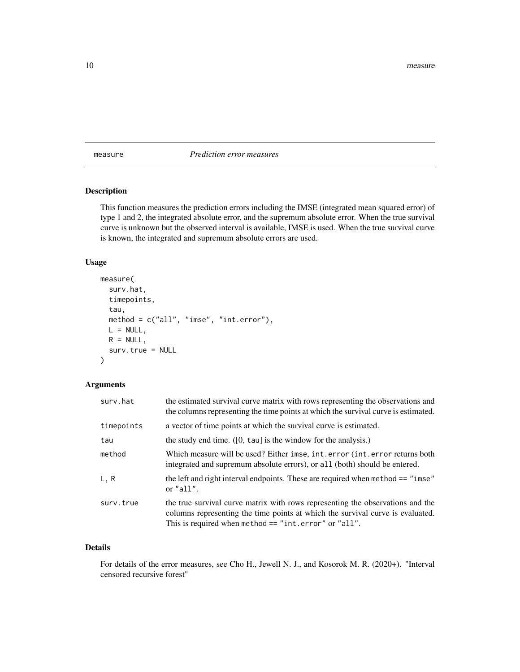<span id="page-9-0"></span>measure *Prediction error measures*

#### Description

This function measures the prediction errors including the IMSE (integrated mean squared error) of type 1 and 2, the integrated absolute error, and the supremum absolute error. When the true survival curve is unknown but the observed interval is available, IMSE is used. When the true survival curve is known, the integrated and supremum absolute errors are used.

#### Usage

```
measure(
  surv.hat,
  timepoints,
  tau,
 method = c("all", "imes", "int.error"),L = NULL,
 R = NULL,surv.true = NULL
)
```
#### Arguments

| surv.hat   | the estimated survival curve matrix with rows representing the observations and<br>the columns representing the time points at which the survival curve is estimated.                                                       |
|------------|-----------------------------------------------------------------------------------------------------------------------------------------------------------------------------------------------------------------------------|
| timepoints | a vector of time points at which the survival curve is estimated.                                                                                                                                                           |
| tau        | the study end time. $([0, \tan]$ is the window for the analysis.)                                                                                                                                                           |
| method     | Which measure will be used? Either imse, int.error (int.error returns both<br>integrated and supremum absolute errors), or all (both) should be entered.                                                                    |
| L, R       | the left and right interval endpoints. These are required when method == "imse"<br>or $"all".$                                                                                                                              |
| surv.true  | the true survival curve matrix with rows representing the observations and the<br>columns representing the time points at which the survival curve is evaluated.<br>This is required when method $==$ "int.error" or "all". |

#### Details

For details of the error measures, see Cho H., Jewell N. J., and Kosorok M. R. (2020+). "Interval censored recursive forest"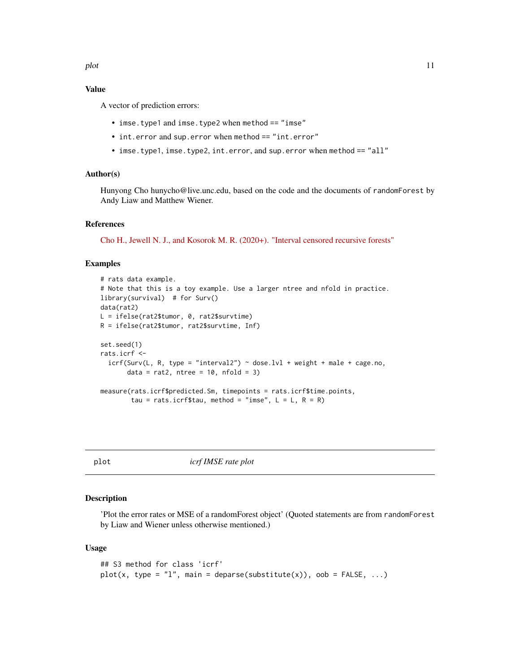#### <span id="page-10-0"></span>Value

A vector of prediction errors:

- imse.type1 and imse.type2 when method == "imse"
- int.error and sup.error when method == "int.error"
- imse.type1, imse.type2, int.error, and sup.error when method == "all"

#### Author(s)

Hunyong Cho hunycho@live.unc.edu, based on the code and the documents of randomForest by Andy Liaw and Matthew Wiener.

#### References

[Cho H., Jewell N. J., and Kosorok M. R. \(2020+\). "Interval censored recursive forests"](https://arxiv.org/abs/1912.09983)

#### Examples

```
# rats data example.
# Note that this is a toy example. Use a larger ntree and nfold in practice.
library(survival) # for Surv()
data(rat2)
L = ifelse(rat2$tumor, 0, rat2$survtime)
R = ifelse(rat2$tumor, rat2$survtime, Inf)
set.seed(1)
rats.icrf <-
  icrf(Surv(L, R, type = "interval2") \sim dose.1vl + weight + male + cage.no,data = rat2, ntree = 10, nfold = 3)
measure(rats.icrf$predicted.Sm, timepoints = rats.icrf$time.points,
        tau = rats.icrf$tau, method = "imse", L = L, R = R)
```
plot *icrf IMSE rate plot*

#### <span id="page-10-1"></span>Description

'Plot the error rates or MSE of a randomForest object' (Quoted statements are from randomForest by Liaw and Wiener unless otherwise mentioned.)

#### Usage

```
## S3 method for class 'icrf'
plot(x, type = "l", main = deparse(substitute(x)), oob = FALSE, ...)
```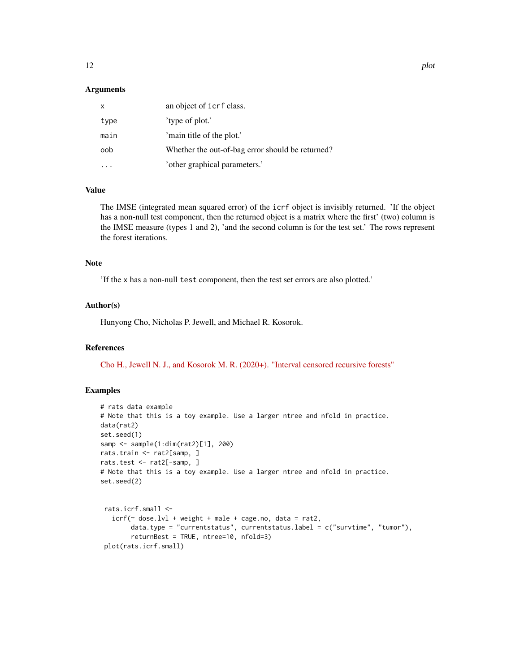#### **Arguments**

| x    | an object of icrf class.                         |
|------|--------------------------------------------------|
| type | 'type of plot.'                                  |
| main | 'main title of the plot.'                        |
| oob  | Whether the out-of-bag error should be returned? |
|      | 'other graphical parameters.'                    |

#### Value

The IMSE (integrated mean squared error) of the icrf object is invisibly returned. 'If the object has a non-null test component, then the returned object is a matrix where the first' (two) column is the IMSE measure (types 1 and 2), 'and the second column is for the test set.' The rows represent the forest iterations.

#### Note

'If the x has a non-null test component, then the test set errors are also plotted.'

#### Author(s)

Hunyong Cho, Nicholas P. Jewell, and Michael R. Kosorok.

#### References

[Cho H., Jewell N. J., and Kosorok M. R. \(2020+\). "Interval censored recursive forests"](https://arxiv.org/abs/1912.09983)

```
# rats data example
# Note that this is a toy example. Use a larger ntree and nfold in practice.
data(rat2)
set.seed(1)
samp <- sample(1:dim(rat2)[1], 200)
rats.train <- rat2[samp, ]
rats.test <- rat2[-samp, ]
# Note that this is a toy example. Use a larger ntree and nfold in practice.
set.seed(2)
rats.icrf.small <-
   icrf(\sim dose.lvl + weight + male + cage.no, data = rat2,
        data.type = "currentstatus", currentstatus.label = c("survtime", "tumor"),
        returnBest = TRUE, ntree=10, nfold=3)
 plot(rats.icrf.small)
```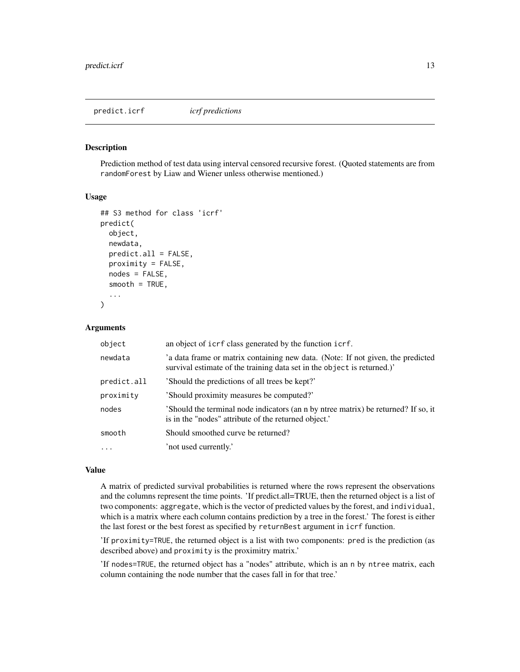<span id="page-12-1"></span><span id="page-12-0"></span>predict.icrf *icrf predictions*

#### Description

Prediction method of test data using interval censored recursive forest. (Quoted statements are from randomForest by Liaw and Wiener unless otherwise mentioned.)

#### Usage

```
## S3 method for class 'icrf'
predict(
 object,
 newdata,
 predict.all = FALSE,
 proximity = FALSE,
  nodes = FALSE,
  smooth = TRUE,...
)
```
#### Arguments

| object      | an object of icrf class generated by the function icrf.                                                                                                    |
|-------------|------------------------------------------------------------------------------------------------------------------------------------------------------------|
| newdata     | 'a data frame or matrix containing new data. (Note: If not given, the predicted<br>survival estimate of the training data set in the object is returned.)' |
| predict.all | 'Should the predictions of all trees be kept?'                                                                                                             |
| proximity   | 'Should proximity measures be computed?'                                                                                                                   |
| nodes       | 'Should the terminal node indicators (an n by ntree matrix) be returned? If so, it<br>is in the "nodes" attribute of the returned object."                 |
| smooth      | Should smoothed curve be returned?                                                                                                                         |
| $\ddots$    | 'not used currently.'                                                                                                                                      |

#### Value

A matrix of predicted survival probabilities is returned where the rows represent the observations and the columns represent the time points. 'If predict.all=TRUE, then the returned object is a list of two components: aggregate, which is the vector of predicted values by the forest, and individual, which is a matrix where each column contains prediction by a tree in the forest.' The forest is either the last forest or the best forest as specified by returnBest argument in icrf function.

'If proximity=TRUE, the returned object is a list with two components: pred is the prediction (as described above) and proximity is the proximitry matrix.'

'If nodes=TRUE, the returned object has a "nodes" attribute, which is an n by ntree matrix, each column containing the node number that the cases fall in for that tree.'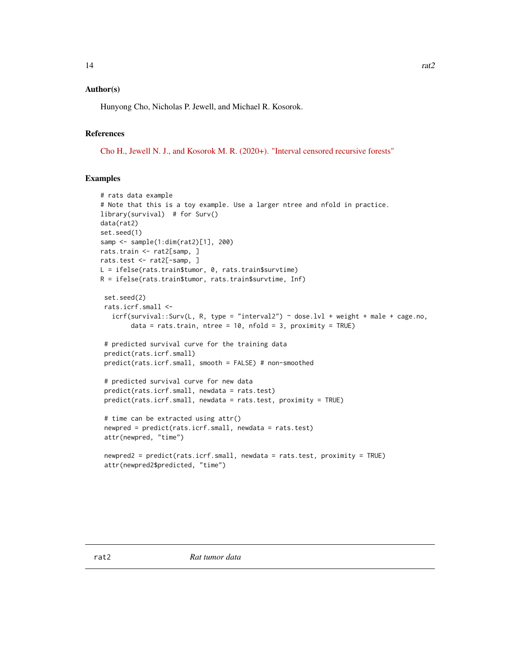#### <span id="page-13-0"></span>Author(s)

Hunyong Cho, Nicholas P. Jewell, and Michael R. Kosorok.

#### References

[Cho H., Jewell N. J., and Kosorok M. R. \(2020+\). "Interval censored recursive forests"](https://arxiv.org/abs/1912.09983)

```
# rats data example
# Note that this is a toy example. Use a larger ntree and nfold in practice.
library(survival) # for Surv()
data(rat2)
set.seed(1)
samp <- sample(1:dim(rat2)[1], 200)
rats.train <- rat2[samp, ]
rats.test <- rat2[-samp, ]
L = ifelse(rats.train$tumor, 0, rats.train$survtime)
R = ifelse(rats.train$tumor, rats.train$survtime, Inf)
 set.seed(2)
 rats.icrf.small <-
   icff(survival::Surv(L, R, type = "interval2") ~ does.} lvl + weight + male + cage.no,data = rats.train, ntree = 10, nfold = 3, proximity = TRUE)
 # predicted survival curve for the training data
 predict(rats.icrf.small)
 predict(rats.icrf.small, smooth = FALSE) # non-smoothed
 # predicted survival curve for new data
 predict(rats.icrf.small, newdata = rats.test)
 predict(rats.icrf.small, newdata = rats.test, proximity = TRUE)
 # time can be extracted using attr()
 newpred = predict(rats.icrf.small, newdata = rats.test)
 attr(newpred, "time")
 newpred2 = predict(rats.icrf.small, newdata = rats.test, proximity = TRUE)
 attr(newpred2$predicted, "time")
```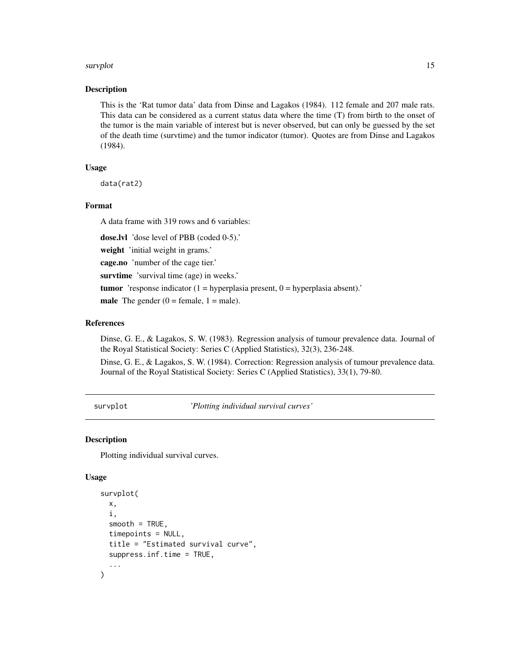#### <span id="page-14-0"></span>survplot that the same survey of the same survey of the same survey of the same survey of the same survey of the same survey of the same survey of the same survey of the same survey of the same survey of the same survey of

#### Description

This is the 'Rat tumor data' data from Dinse and Lagakos (1984). 112 female and 207 male rats. This data can be considered as a current status data where the time (T) from birth to the onset of the tumor is the main variable of interest but is never observed, but can only be guessed by the set of the death time (survtime) and the tumor indicator (tumor). Quotes are from Dinse and Lagakos (1984).

#### Usage

data(rat2)

#### Format

A data frame with 319 rows and 6 variables:

dose.lvl 'dose level of PBB (coded 0-5).'

weight 'initial weight in grams.'

cage.no 'number of the cage tier.'

survtime 'survival time (age) in weeks.'

**tumor** 'response indicator  $(1 = hyperplasia present, 0 = hyperplasia absent)$ .'

**male** The gender  $(0 = \text{female}, 1 = \text{male}).$ 

#### References

Dinse, G. E., & Lagakos, S. W. (1983). Regression analysis of tumour prevalence data. Journal of the Royal Statistical Society: Series C (Applied Statistics), 32(3), 236-248.

Dinse, G. E., & Lagakos, S. W. (1984). Correction: Regression analysis of tumour prevalence data. Journal of the Royal Statistical Society: Series C (Applied Statistics), 33(1), 79-80.

<span id="page-14-1"></span>survplot *'Plotting individual survival curves'*

#### **Description**

Plotting individual survival curves.

#### Usage

```
survplot(
  x,
  i,
  smooth = TRUE,timepoints = NULL,
  title = "Estimated survival curve",
  suppress.inf.time = TRUE,
  ...
)
```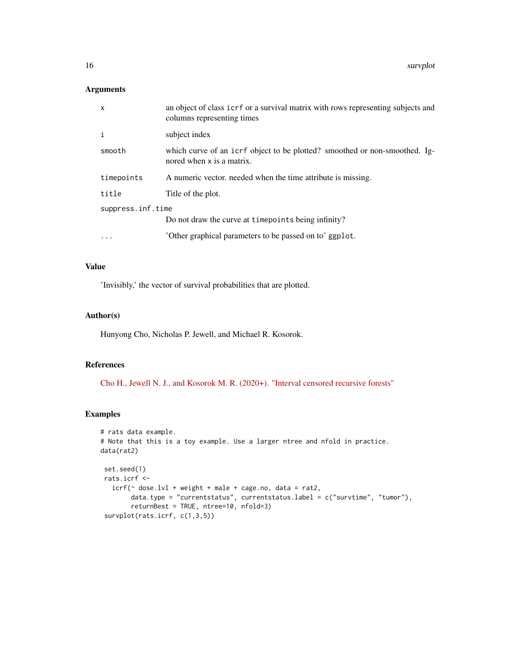16 survplot

#### Arguments

| $\mathsf{x}$      | an object of class icrf or a survival matrix with rows representing subjects and<br>columns representing times |
|-------------------|----------------------------------------------------------------------------------------------------------------|
| i                 | subject index                                                                                                  |
| smooth            | which curve of an icrf object to be plotted? smoothed or non-smoothed. Ig-<br>nored when x is a matrix.        |
| timepoints        | A numeric vector, needed when the time attribute is missing.                                                   |
| title             | Title of the plot.                                                                                             |
| suppress.inf.time |                                                                                                                |
|                   | Do not draw the curve at timepoints being infinity?                                                            |
|                   | 'Other graphical parameters to be passed on to' ggplot.                                                        |

#### Value

'Invisibly,' the vector of survival probabilities that are plotted.

#### Author(s)

Hunyong Cho, Nicholas P. Jewell, and Michael R. Kosorok.

#### References

[Cho H., Jewell N. J., and Kosorok M. R. \(2020+\). "Interval censored recursive forests"](https://arxiv.org/abs/1912.09983)

```
# rats data example.
# Note that this is a toy example. Use a larger ntree and nfold in practice.
data(rat2)
 set.seed(1)
 rats.icrf <-
   icrf(\sim dose.lvl + weight + male + cage.no, data = rat2,
       data.type = "currentstatus", currentstatus.label = c("survtime", "tumor"),
       returnBest = TRUE, ntree=10, nfold=3)
 survplot(rats.icrf, c(1,3,5))
```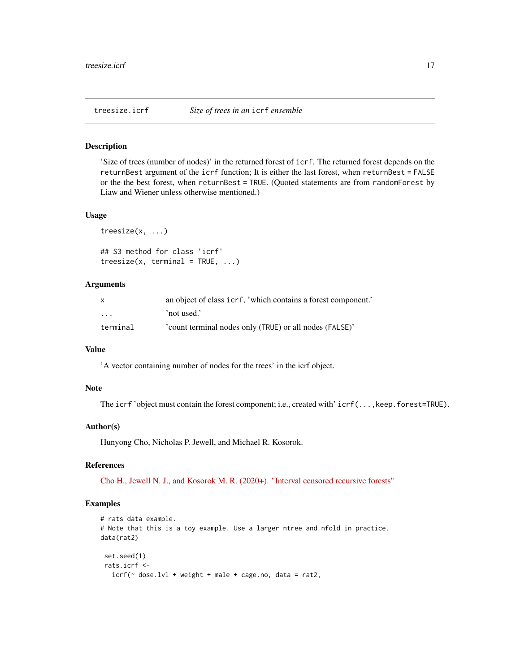<span id="page-16-0"></span>

#### Description

'Size of trees (number of nodes)' in the returned forest of icrf. The returned forest depends on the returnBest argument of the icrf function; It is either the last forest, when returnBest = FALSE or the the best forest, when returnBest = TRUE. (Quoted statements are from randomForest by Liaw and Wiener unless otherwise mentioned.)

#### Usage

```
treesize(x, ...)
```

```
## S3 method for class 'icrf'
treesize(x, terminal = TRUE, ...)
```
#### Arguments

| X                       | an object of class icrf, 'which contains a forest component.' |
|-------------------------|---------------------------------------------------------------|
| $\cdot$ $\cdot$ $\cdot$ | 'not used.'                                                   |
| terminal                | 'count terminal nodes only (TRUE) or all nodes (FALSE)'       |

#### Value

'A vector containing number of nodes for the trees' in the icrf object.

#### Note

The icrf 'object must contain the forest component; i.e., created with' icrf(...,keep.forest=TRUE).

#### Author(s)

Hunyong Cho, Nicholas P. Jewell, and Michael R. Kosorok.

#### References

[Cho H., Jewell N. J., and Kosorok M. R. \(2020+\). "Interval censored recursive forests"](https://arxiv.org/abs/1912.09983)

```
# rats data example.
# Note that this is a toy example. Use a larger ntree and nfold in practice.
data(rat2)
set.seed(1)
rats.icrf <-
  icrf(\sim dose.lvl + weight + male + cage.no, data = rat2,
```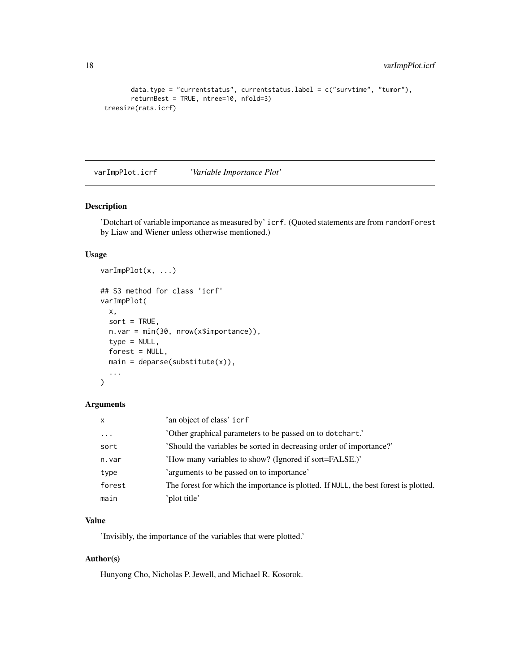```
data.type = "currentstatus", currentstatus.label = c("survtime", "tumor"),returnBest = TRUE, ntree=10, nfold=3)
treesize(rats.icrf)
```
varImpPlot.icrf *'Variable Importance Plot'*

#### Description

'Dotchart of variable importance as measured by' icrf. (Quoted statements are from randomForest by Liaw and Wiener unless otherwise mentioned.)

#### Usage

```
varImpPlot(x, ...)
## S3 method for class 'icrf'
varImpPlot(
 x,
  sort = TRUE,n.var = min(30, nrow(x$importance)),
 type = NULL,
 forest = NULL,main = deparse(substitute(x)),...
)
```
#### Arguments

| x        | 'an object of class' icrf                                                            |
|----------|--------------------------------------------------------------------------------------|
| $\cdots$ | 'Other graphical parameters to be passed on to dotchart.'                            |
| sort     | 'Should the variables be sorted in decreasing order of importance?'                  |
| n.var    | 'How many variables to show? (Ignored if sort=FALSE.)'                               |
| type     | 'arguments to be passed on to importance'                                            |
| forest   | The forest for which the importance is plotted. If NULL, the best forest is plotted. |
| main     | 'plot title'                                                                         |

#### Value

'Invisibly, the importance of the variables that were plotted.'

#### Author(s)

Hunyong Cho, Nicholas P. Jewell, and Michael R. Kosorok.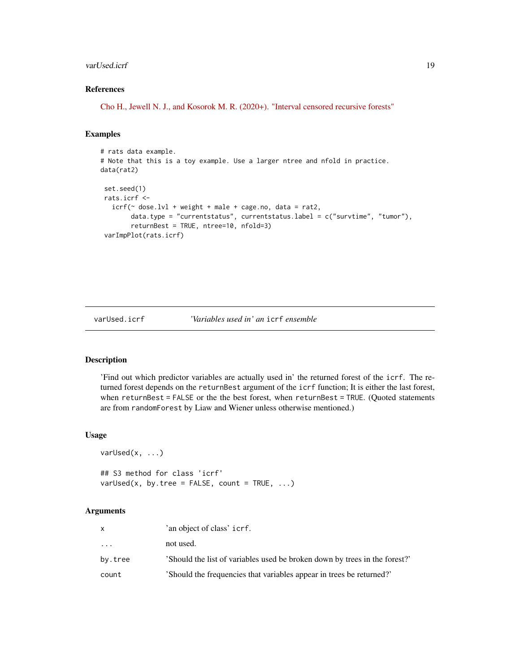#### <span id="page-18-0"></span>varUsed.icrf 19

#### References

[Cho H., Jewell N. J., and Kosorok M. R. \(2020+\). "Interval censored recursive forests"](https://arxiv.org/abs/1912.09983)

#### Examples

```
# rats data example.
# Note that this is a toy example. Use a larger ntree and nfold in practice.
data(rat2)
set.seed(1)
rats.icrf <-
  icrf(\sim dose.lvl + weight + male + cage.no, data = rat2,
       data.type = "currentstatus", currentstatus.label = c("survtime", "tumor"),
        returnBest = TRUE, ntree=10, nfold=3)
 varImpPlot(rats.icrf)
```
#### varUsed.icrf *'Variables used in' an* icrf *ensemble*

#### Description

'Find out which predictor variables are actually used in' the returned forest of the icrf. The returned forest depends on the returnBest argument of the icrf function; It is either the last forest, when returnBest = FALSE or the the best forest, when returnBest = TRUE. (Quoted statements are from randomForest by Liaw and Wiener unless otherwise mentioned.)

#### Usage

```
varUsed(x, \ldots)
```

```
## S3 method for class 'icrf'
varUsed(x, by.tree = FALSE, count = TRUE, \ldots)
```
#### Arguments

| X                   | 'an object of class' icrf.                                                 |
|---------------------|----------------------------------------------------------------------------|
| $\cdot \cdot \cdot$ | not used.                                                                  |
| by.tree             | 'Should the list of variables used be broken down by trees in the forest?' |
| count               | 'Should the frequencies that variables appear in trees be returned?'       |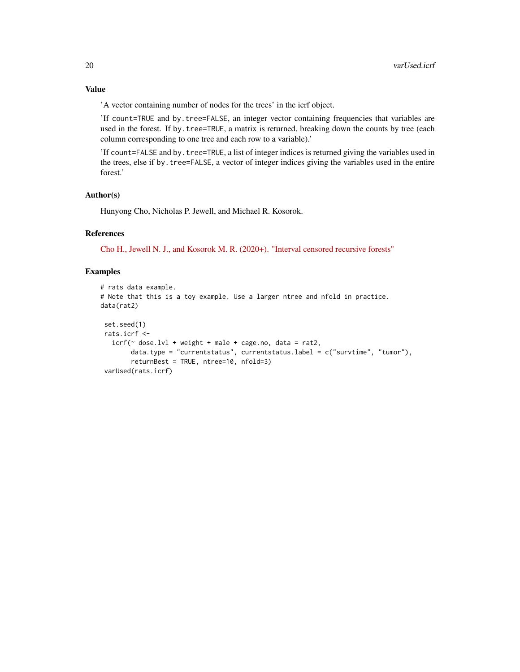'A vector containing number of nodes for the trees' in the icrf object.

'If count=TRUE and by.tree=FALSE, an integer vector containing frequencies that variables are used in the forest. If by.tree=TRUE, a matrix is returned, breaking down the counts by tree (each column corresponding to one tree and each row to a variable).'

'If count=FALSE and by.tree=TRUE, a list of integer indices is returned giving the variables used in the trees, else if by.tree=FALSE, a vector of integer indices giving the variables used in the entire forest.'

#### Author(s)

Hunyong Cho, Nicholas P. Jewell, and Michael R. Kosorok.

#### References

[Cho H., Jewell N. J., and Kosorok M. R. \(2020+\). "Interval censored recursive forests"](https://arxiv.org/abs/1912.09983)

```
# rats data example.
# Note that this is a toy example. Use a larger ntree and nfold in practice.
data(rat2)
 set.seed(1)
 rats.icrf <-
   icrf(\sim dose.lvl + weight + male + cage.no, data = rat2,
        data.type = "currentstatus", currentstatus.label = c("survtime", "tumor"),
        returnBest = TRUE, ntree=10, nfold=3)
 varUsed(rats.icrf)
```